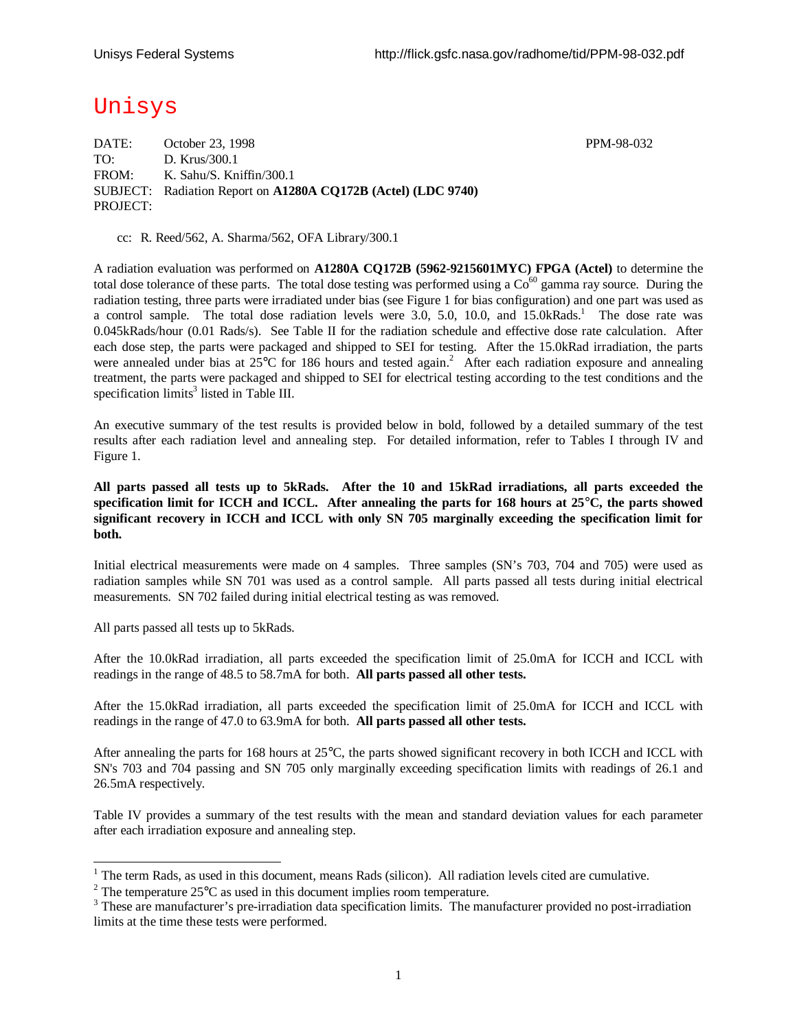# Unisys

DATE: October 23, 1998 **PPM-98-032** TO: D. Krus/300.1 FROM: K. Sahu/S. Kniffin/300.1 SUBJECT: Radiation Report on **A1280A CQ172B (Actel) (LDC 9740)** PROJECT:

cc: R. Reed/562, A. Sharma/562, OFA Library/300.1

A radiation evaluation was performed on **A1280A CQ172B (5962-9215601MYC) FPGA (Actel)** to determine the total dose tolerance of these parts. The total dose testing was performed using a  $\text{Co}^{60}$  gamma ray source. During the radiation testing, three parts were irradiated under bias (see Figure 1 for bias configuration) and one part was used as a control sample. The total dose radiation levels were 3.0, 5.0, 10.0, and 15.0kRads.<sup>1</sup> The dose rate was 0.045kRads/hour (0.01 Rads/s). See Table II for the radiation schedule and effective dose rate calculation. After each dose step, the parts were packaged and shipped to SEI for testing. After the 15.0kRad irradiation, the parts were annealed under bias at 25°C for 186 hours and tested again.<sup>2</sup> After each radiation exposure and annealing treatment, the parts were packaged and shipped to SEI for electrical testing according to the test conditions and the specification limits<sup>3</sup> listed in Table III.

An executive summary of the test results is provided below in bold, followed by a detailed summary of the test results after each radiation level and annealing step. For detailed information, refer to Tables I through IV and Figure 1.

**All parts passed all tests up to 5kRads. After the 10 and 15kRad irradiations, all parts exceeded the specification limit for ICCH and ICCL. After annealing the parts for 168 hours at 25°C, the parts showed significant recovery in ICCH and ICCL with only SN 705 marginally exceeding the specification limit for both.**

Initial electrical measurements were made on 4 samples. Three samples (SN's 703, 704 and 705) were used as radiation samples while SN 701 was used as a control sample. All parts passed all tests during initial electrical measurements. SN 702 failed during initial electrical testing as was removed.

All parts passed all tests up to 5kRads.

1

After the 10.0kRad irradiation, all parts exceeded the specification limit of 25.0mA for ICCH and ICCL with readings in the range of 48.5 to 58.7mA for both. **All parts passed all other tests.**

After the 15.0kRad irradiation, all parts exceeded the specification limit of 25.0mA for ICCH and ICCL with readings in the range of 47.0 to 63.9mA for both. **All parts passed all other tests.**

After annealing the parts for 168 hours at 25°C, the parts showed significant recovery in both ICCH and ICCL with SN's 703 and 704 passing and SN 705 only marginally exceeding specification limits with readings of 26.1 and 26.5mA respectively.

Table IV provides a summary of the test results with the mean and standard deviation values for each parameter after each irradiation exposure and annealing step.

 $1$  The term Rads, as used in this document, means Rads (silicon). All radiation levels cited are cumulative.

<sup>&</sup>lt;sup>2</sup> The temperature  $25^{\circ}$ C as used in this document implies room temperature.

 $3$  These are manufacturer's pre-irradiation data specification limits. The manufacturer provided no post-irradiation limits at the time these tests were performed.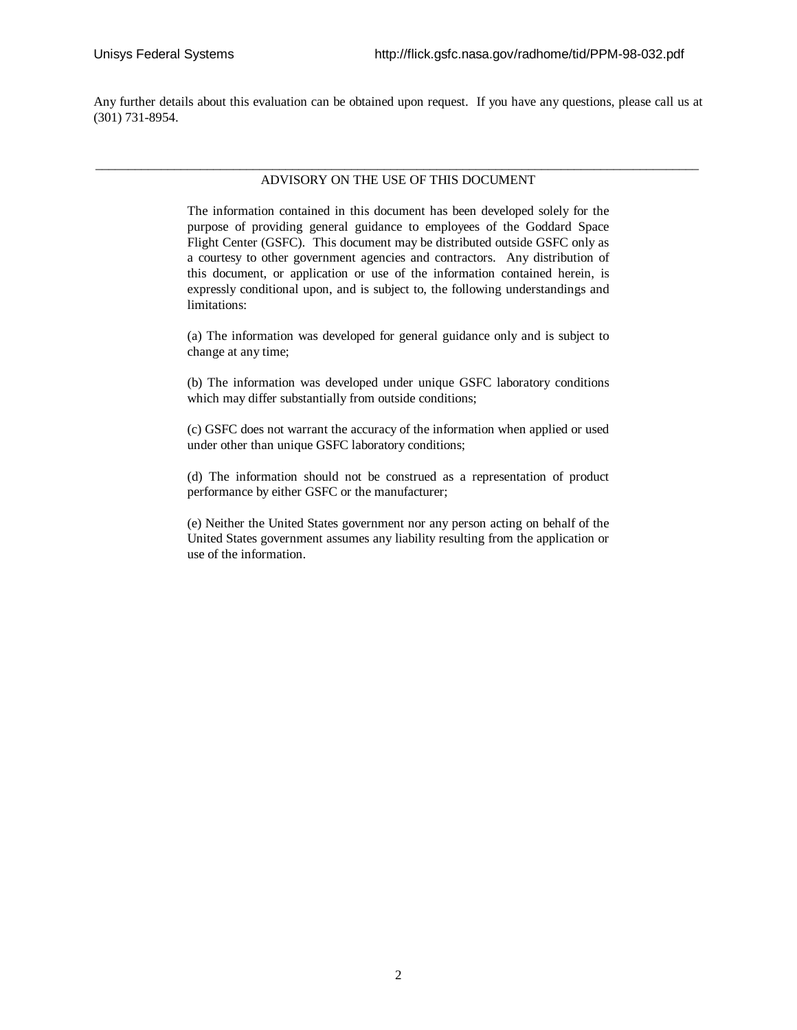Any further details about this evaluation can be obtained upon request. If you have any questions, please call us at (301) 731-8954.

#### \_\_\_\_\_\_\_\_\_\_\_\_\_\_\_\_\_\_\_\_\_\_\_\_\_\_\_\_\_\_\_\_\_\_\_\_\_\_\_\_\_\_\_\_\_\_\_\_\_\_\_\_\_\_\_\_\_\_\_\_\_\_\_\_\_\_\_\_\_\_\_\_\_\_\_\_\_\_\_\_\_\_\_\_\_\_\_\_\_\_\_\_ ADVISORY ON THE USE OF THIS DOCUMENT

The information contained in this document has been developed solely for the purpose of providing general guidance to employees of the Goddard Space Flight Center (GSFC). This document may be distributed outside GSFC only as a courtesy to other government agencies and contractors. Any distribution of this document, or application or use of the information contained herein, is expressly conditional upon, and is subject to, the following understandings and limitations:

(a) The information was developed for general guidance only and is subject to change at any time;

(b) The information was developed under unique GSFC laboratory conditions which may differ substantially from outside conditions;

(c) GSFC does not warrant the accuracy of the information when applied or used under other than unique GSFC laboratory conditions;

(d) The information should not be construed as a representation of product performance by either GSFC or the manufacturer;

(e) Neither the United States government nor any person acting on behalf of the United States government assumes any liability resulting from the application or use of the information.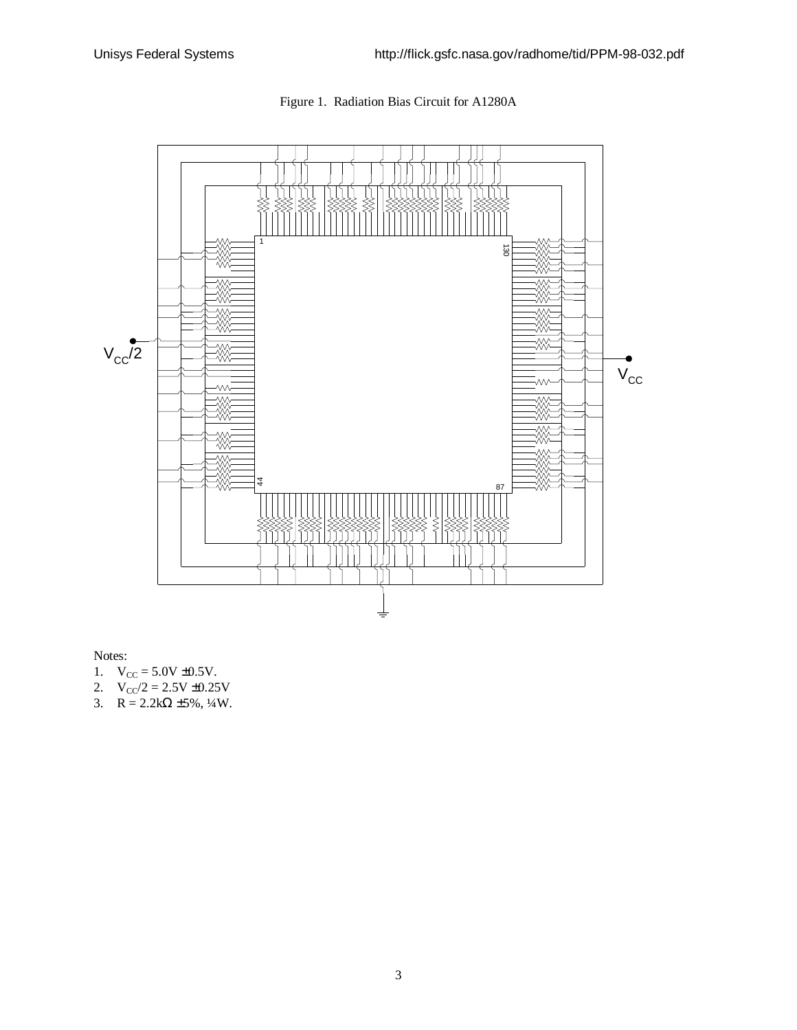



Notes:

- 1.  $V_{CC} = 5.0V \pm 0.5V$ .
- 2.  $V_{\text{CC}}/2 = 2.5V \pm 0.25V$
- 3.  $R = 2.2k\Omega \pm 5\%, \frac{1}{4}W$ .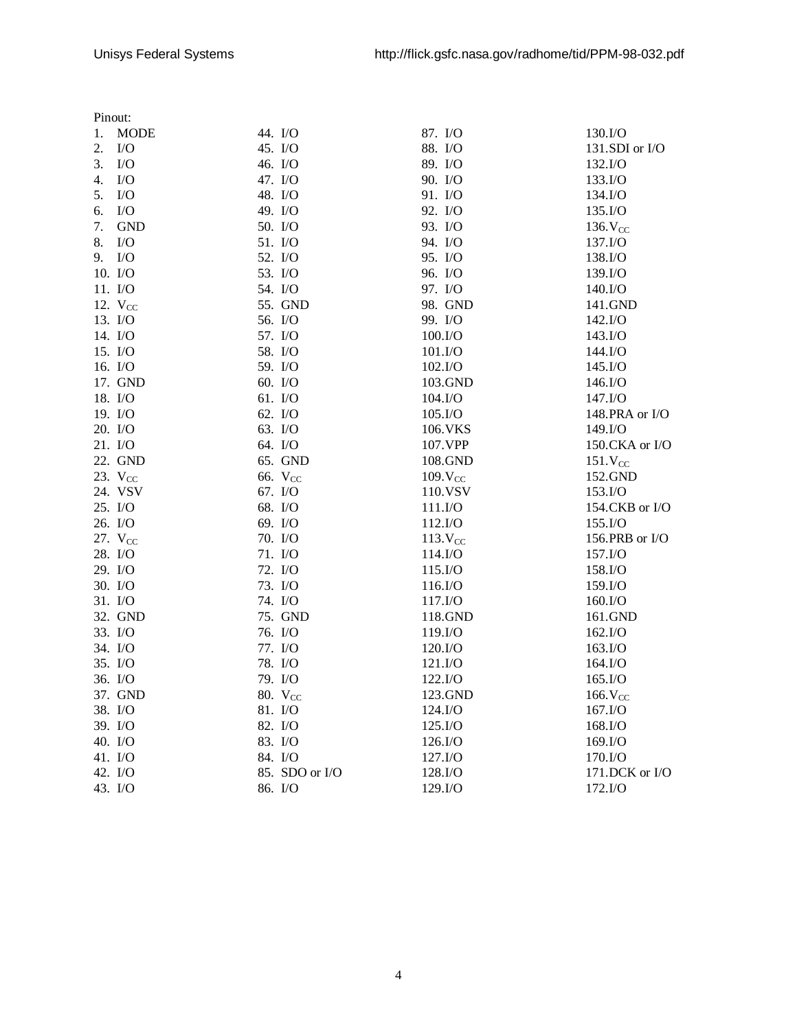|    | Pinout:             |                     |                     |                      |
|----|---------------------|---------------------|---------------------|----------------------|
| 1. | <b>MODE</b>         | 44. I/O             | 87. I/O             | 130.I/O              |
| 2. | $\rm I/O$           | 45. I/O             | 88. I/O             | 131.SDI or I/O       |
| 3. | $\rm I/O$           | 46. I/O             | 89. I/O             | 132.I/O              |
| 4. | $\rm I/O$           | 47. I/O             | 90. I/O             | 133.I/O              |
| 5. | $\rm LO$            | 48. I/O             | 91. I/O             | 134.I/O              |
| 6. | I/O                 | 49. I/O             | 92. I/O             | 135.I/O              |
| 7. | <b>GND</b>          | 50. I/O             | 93. I/O             | 136. V <sub>CC</sub> |
| 8. | $\rm I/O$           | 51. I/O             | 94. I/O             | 137.I/O              |
| 9. | $\rm LO$            | 52. I/O             | 95. I/O             | 138.I/O              |
|    | 10. I/O             | 53. I/O             | 96. I/O             | 139.I/O              |
|    | 11. I/O             | 54. I/O             | 97. I/O             | 140.I/O              |
|    | 12. $V_{CC}$        | 55. GND             | 98. GND             | 141.GND              |
|    | 13. I/O             | 56. I/O             | 99. I/O             | 142.I/O              |
|    | 14. I/O             | 57. I/O             | 100.I/O             | 143.I/O              |
|    | 15. I/O             | 58. I/O             | 101.I/O             | 144.I/O              |
|    | 16. I/O             | 59. I/O             | 102.I/O             | 145.I/O              |
|    | 17. GND             | 60. I/O             | 103.GND             | 146.I/O              |
|    | 18. I/O             | 61. I/O             | 104.I/O             | 147.I/O              |
|    | 19. I/O             | 62. I/O             | 105.I/O             | 148.PRA or I/O       |
|    | 20. I/O             | 63. I/O             | 106.VKS             | 149.I/O              |
|    | 21. I/O             | 64. I/O             | 107.VPP             | 150.CKA or I/O       |
|    | 22. GND             | 65. GND             | 108.GND             | 151.V <sub>CC</sub>  |
|    | 23. V <sub>CC</sub> | 66. V <sub>CC</sub> | 109.V <sub>CC</sub> | 152.GND              |
|    | 24. VSV             | 67. I/O             | 110.VSV             | 153.I/O              |
|    | 25. I/O             | 68. I/O             | 111.I/O             | 154.CKB or I/O       |
|    | 26. I/O             | 69. I/O             | 112.I/O             | 155.I/O              |
|    | 27. $V_{CC}$        | 70. I/O             | 113.V <sub>CC</sub> | 156.PRB or I/O       |
|    | 28. I/O             | 71. I/O             | 114.I/O             | 157.I/O              |
|    | 29. I/O             | 72. I/O             | 115.I/O             | 158.I/O              |
|    | 30. I/O             | 73. I/O             | 116.I/O             | 159.I/O              |
|    | 31. I/O             | 74. I/O             | 117.I/O             | 160.I/O              |
|    | 32. GND             | 75. GND             | 118.GND             | 161.GND              |
|    | 33. I/O             | 76. I/O             | 119.I/O             | 162.I/O              |
|    | 34. I/O             | 77. I/O             | 120.I/O             | 163.I/O              |
|    | 35. I/O             | 78. I/O             | 121.I/O             | 164.I/O              |
|    | 36. I/O             | 79. I/O             | 122.I/O             | 165.I/O              |
|    | 37. GND             | 80. V <sub>cc</sub> | 123.GND             | $166.$ $V_{CC}$      |
|    | 38. I/O             | 81. I/O             | 124.I/O             | 167.I/O              |
|    | 39. I/O             | 82. I/O             | 125.I/O             | 168.I/O              |
|    | 40. I/O             | 83. I/O             | 126.I/O             | 169.I/O              |
|    | 41. I/O             | 84. I/O             | 127.I/O             | 170.I/O              |
|    | 42. I/O             | 85. SDO or I/O      | 128.I/O             | $171$ .DCK or I/O    |
|    | 43. I/O             | 86. I/O             | 129.I/O             | 172.I/O              |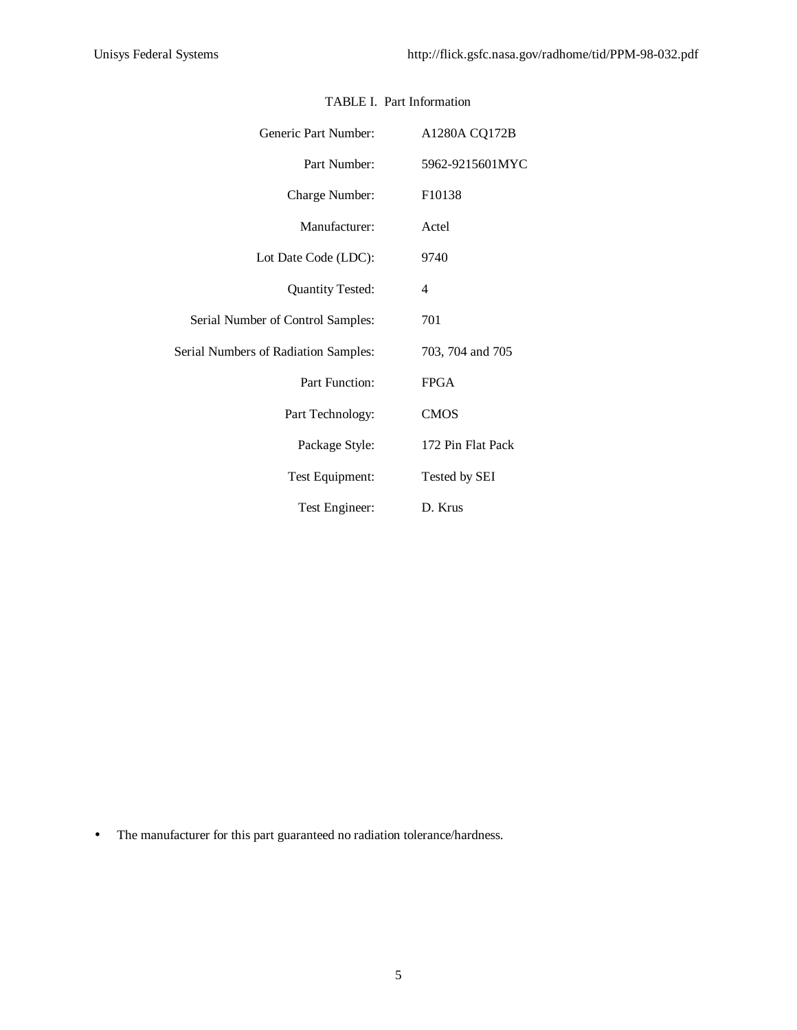| Generic Part Number:                 | A1280A CQ172B      |
|--------------------------------------|--------------------|
| Part Number:                         | 5962-9215601MYC    |
| Charge Number:                       | F <sub>10138</sub> |
| Manufacturer:                        | Actel              |
| Lot Date Code (LDC):                 | 9740               |
| <b>Quantity Tested:</b>              | 4                  |
| Serial Number of Control Samples:    | 701                |
| Serial Numbers of Radiation Samples: | 703, 704 and 705   |
| Part Function:                       | <b>FPGA</b>        |
| Part Technology:                     | <b>CMOS</b>        |
| Package Style:                       | 172 Pin Flat Pack  |
| Test Equipment:                      | Tested by SEI      |
| Test Engineer:                       | D. Krus            |

### TABLE I. Part Information

• The manufacturer for this part guaranteed no radiation tolerance/hardness.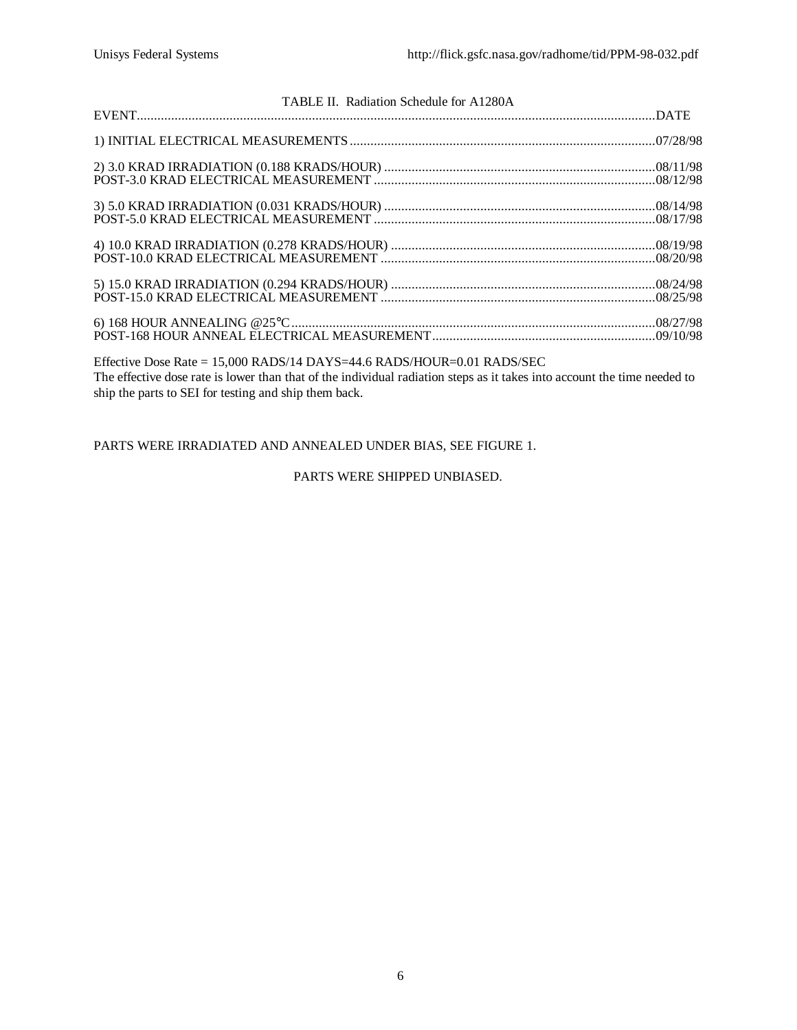| TABLE II. Radiation Schedule for A1280A |  |
|-----------------------------------------|--|
|                                         |  |
|                                         |  |
|                                         |  |
|                                         |  |
|                                         |  |
|                                         |  |
|                                         |  |

Effective Dose Rate = 15,000 RADS/14 DAYS=44.6 RADS/HOUR=0.01 RADS/SEC The effective dose rate is lower than that of the individual radiation steps as it takes into account the time needed to ship the parts to SEI for testing and ship them back.

PARTS WERE IRRADIATED AND ANNEALED UNDER BIAS, SEE FIGURE 1.

PARTS WERE SHIPPED UNBIASED.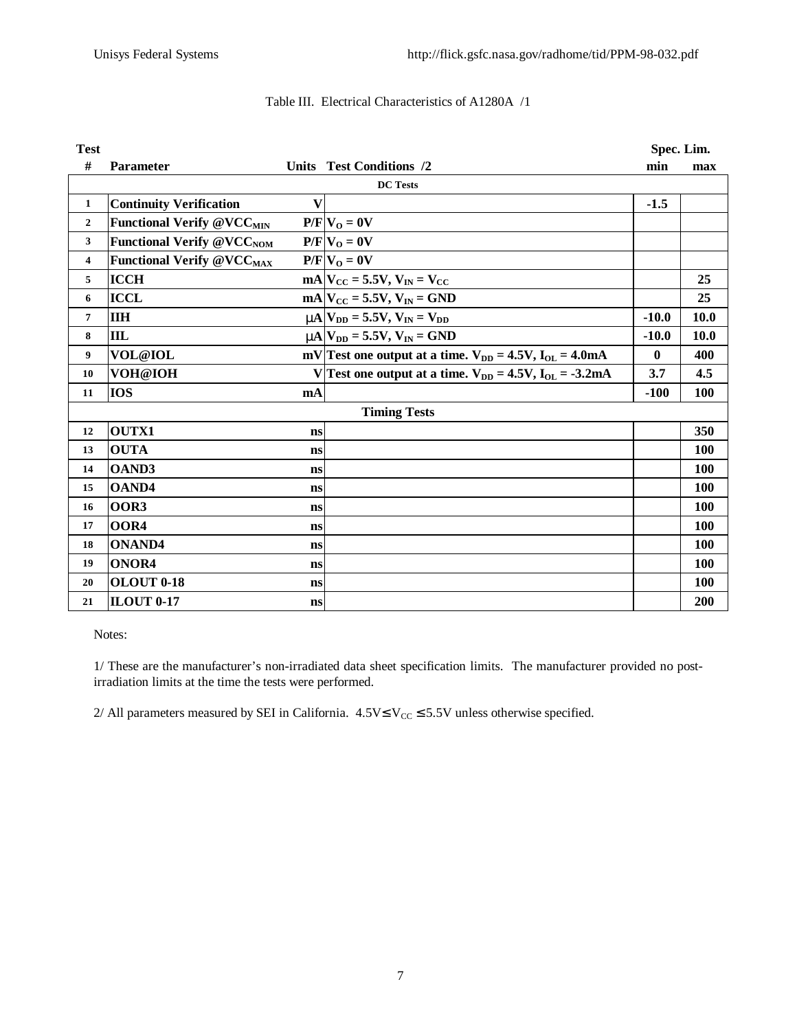| <b>Test</b>         |                                             |              |                                                                  | Spec. Lim.   |             |  |  |  |  |  |
|---------------------|---------------------------------------------|--------------|------------------------------------------------------------------|--------------|-------------|--|--|--|--|--|
| #                   | Parameter                                   |              | Units Test Conditions /2                                         | min          | max         |  |  |  |  |  |
| <b>DC</b> Tests     |                                             |              |                                                                  |              |             |  |  |  |  |  |
| $\mathbf{1}$        | <b>Continuity Verification</b>              | $\mathbf{V}$ |                                                                  | $-1.5$       |             |  |  |  |  |  |
| $\overline{2}$      | <b>Functional Verify @VCC<sub>MIN</sub></b> |              | $P/F$ $V_O = 0V$                                                 |              |             |  |  |  |  |  |
| 3                   | <b>Functional Verify @VCC<sub>NOM</sub></b> |              | $P/F V_0 = 0V$                                                   |              |             |  |  |  |  |  |
| 4                   | <b>Functional Verify @VCCMAX</b>            |              | $P/F$ $V_O = 0V$                                                 |              |             |  |  |  |  |  |
| 5                   | <b>ICCH</b>                                 |              | $mA$ <sub>Cc</sub> = 5.5V, $V_{IN}$ = $V_{CC}$                   |              | 25          |  |  |  |  |  |
| 6                   | <b>ICCL</b>                                 |              | $mA$ <sub>Cc</sub> = 5.5V, $V_{IN}$ = GND                        |              | 25          |  |  |  |  |  |
| $\overline{7}$      | <b>IIH</b>                                  |              | $mA$ $V_{DD}$ = 5.5V, $V_{IN}$ = $V_{DD}$                        | $-10.0$      | 10.0        |  |  |  |  |  |
| 8                   | IIL                                         |              | $mA$ $V_{DD} = 5.5V, V_{IN} = GND$                               | $-10.0$      | <b>10.0</b> |  |  |  |  |  |
| 9                   | VOL@IOL                                     |              | mV Test one output at a time. $V_{DD} = 4.5V$ , $I_{OL} = 4.0mA$ | $\mathbf{0}$ | 400         |  |  |  |  |  |
| 10                  | VOH@IOH                                     |              | V Test one output at a time. $V_{DD} = 4.5V$ , $I_{OL} = -3.2mA$ | 3.7          | 4.5         |  |  |  |  |  |
| 11                  | <b>IOS</b>                                  | mA           |                                                                  | $-100$       | <b>100</b>  |  |  |  |  |  |
| <b>Timing Tests</b> |                                             |              |                                                                  |              |             |  |  |  |  |  |
| 12                  | <b>OUTX1</b>                                | ns           |                                                                  |              | 350         |  |  |  |  |  |
| 13                  | <b>OUTA</b>                                 | <b>ns</b>    |                                                                  |              | 100         |  |  |  |  |  |
| 14                  | <b>OAND3</b>                                | ns           |                                                                  |              | 100         |  |  |  |  |  |
| 15                  | <b>OAND4</b>                                | <b>ns</b>    |                                                                  |              | 100         |  |  |  |  |  |
| 16                  | OOR3                                        | <b>ns</b>    |                                                                  |              | 100         |  |  |  |  |  |
| 17                  | OOR4                                        | ns           |                                                                  |              | <b>100</b>  |  |  |  |  |  |
| 18                  | <b>ONAND4</b>                               | ns           |                                                                  |              | <b>100</b>  |  |  |  |  |  |
| 19                  | ONOR4                                       | ns           |                                                                  |              | <b>100</b>  |  |  |  |  |  |
| 20                  | OLOUT 0-18                                  | ns           |                                                                  |              | <b>100</b>  |  |  |  |  |  |
| 21                  | <b>ILOUT 0-17</b>                           | ns           |                                                                  |              | 200         |  |  |  |  |  |

### Table III. Electrical Characteristics of A1280A /1

Notes:

1/ These are the manufacturer's non-irradiated data sheet specification limits. The manufacturer provided no postirradiation limits at the time the tests were performed.

2/ All parameters measured by SEI in California.  $4.5V \le V_{CC} \le 5.5V$  unless otherwise specified.